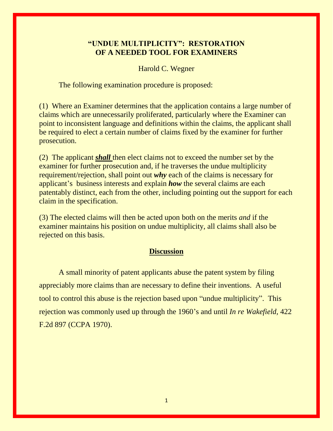## **"UNDUE MULTIPLICITY": RESTORATION OF A NEEDED TOOL FOR EXAMINERS**

Harold C. Wegner

The following examination procedure is proposed:

(1) Where an Examiner determines that the application contains a large number of claims which are unnecessarily proliferated, particularly where the Examiner can point to inconsistent language and definitions within the claims, the applicant shall be required to elect a certain number of claims fixed by the examiner for further prosecution.

(2) The applicant *shall* then elect claims not to exceed the number set by the examiner for further prosecution and, if he traverses the undue multiplicity requirement/rejection, shall point out *why* each of the claims is necessary for applicant's business interests and explain *how* the several claims are each patentably distinct, each from the other, including pointing out the support for each claim in the specification.

(3) The elected claims will then be acted upon both on the merits *and* if the examiner maintains his position on undue multiplicity, all claims shall also be rejected on this basis.

## **Discussion**

A small minority of patent applicants abuse the patent system by filing appreciably more claims than are necessary to define their inventions. A useful tool to control this abuse is the rejection based upon "undue multiplicity". This rejection was commonly used up through the 1960's and until *In re Wakefield,* 422 F.2d 897 (CCPA 1970).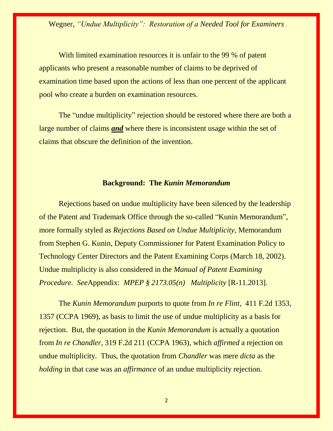Wegner, *"Undue Multiplicity": Restoration of a Needed Tool for Examiners*

With limited examination resources it is unfair to the 99 % of patent applicants who present a reasonable number of claims to be deprived of examination time based upon the actions of less than one percent of the applicant pool who create a burden on examination resources.

The "undue multiplicity" rejection should be restored where there are both a large number of claims *and* where there is inconsistent usage within the set of claims that obscure the definition of the invention.

## **Background: The** *Kunin Memorandum*

Rejections based on undue multiplicity have been silenced by the leadership of the Patent and Trademark Office through the so-called "Kunin Memorandum", more formally styled as *Rejections Based on Undue Multiplicity,* Memorandum from Stephen G. Kunin, Deputy Commissioner for Patent Examination Policy to Technology Center Directors and the Patent Examining Corps (March 18, 2002). Undue multiplicity is also considered in the *Manual of Patent Examining Procedure. See*Appendix: *MPEP § 2173.05(n) Multiplicity* [R-11.2013].

The *Kunin Memorandum* purports to quote from *In re Flint,* 411 F.2d 1353, 1357 (CCPA 1969), as basis to limit the use of undue multiplicity as a basis for rejection. But, the quotation in the *Kunin Memorandum* is actually a quotation from *In re Chandler*, 319 F.2d 211 (CCPA 1963), which *affirmed* a rejection on undue multiplicity. Thus, the quotation from *Chandler* was mere *dicta* as the *holding* in that case was an *affirmance* of an undue multiplicity rejection.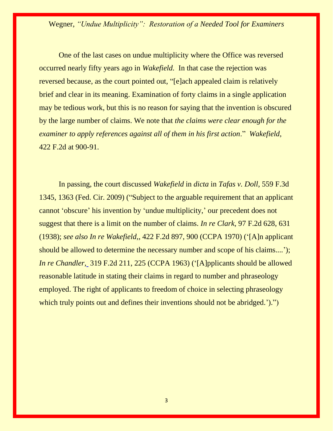Wegner, *"Undue Multiplicity": Restoration of a Needed Tool for Examiners*

One of the last cases on undue multiplicity where the Office was reversed occurred nearly fifty years ago in *Wakefield.* In that case the rejection was reversed because, as the court pointed out, "[e]ach appealed claim is relatively brief and clear in its meaning. Examination of forty claims in a single application may be tedious work, but this is no reason for saying that the invention is obscured by the large number of claims. We note that *the claims were clear enough for the examiner to apply references against all of them in his first action*." *Wakefield,* 422 F.2d at 900-91.

In passing, the court discussed *Wakefield* in *dicta* in *Tafas v. Doll*, 559 F.3d 1345, 1363 (Fed. Cir. 2009) ("Subject to the arguable requirement that an applicant cannot 'obscure' his invention by 'undue multiplicity,' our precedent does not suggest that there is a limit on the number of claims. *In re Clark,* 97 F.2d 628, 631 (1938); *see also In re Wakefield,*, 422 F.2d 897, 900 (CCPA 1970) ('[A]n applicant should be allowed to determine the necessary number and scope of his claims....'); *In re Chandler[,](https://apps.fastcase.com/CaseLawPortal/Pages/Secure/Document.aspx?LTID=eCToTxhqBTEpImgA6FnyrwTNsoy1qGGlZTvzkCAdeFUxyXbwrj7IzqbU%2bdyE68bCHgjZ8M9vFYZQVTxZqOVYcmBI8XKRN76Y58y9sWfE533amb8ui1gG1gs8dqyzbwj%2fVNEfpdSWRUUVPko3ABuIZaBw6NJs1ZruxXnm%2fFCqmA8%3d&ECF=50+C.C.P.A.+1422)* 319 F.2d 211, 225 (CCPA 1963) ('[A]pplicants should be allowed reasonable latitude in stating their claims in regard to number and phraseology employed. The right of applicants to freedom of choice in selecting phraseology which truly points out and defines their inventions should not be abridged.')."